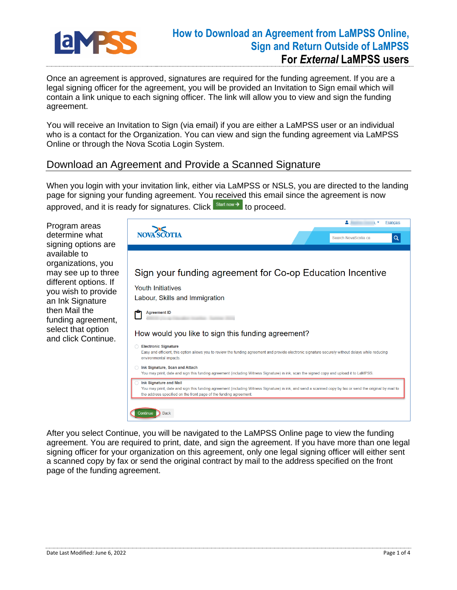

## **How to Download an Agreement from LaMPSS Online, Sign and Return Outside of LaMPSS For** *External* **LaMPSS users**

Once an agreement is approved, signatures are required for the funding agreement. If you are a legal signing officer for the agreement, you will be provided an Invitation to Sign email which will contain a link unique to each signing officer. The link will allow you to view and sign the funding agreement.

You will receive an Invitation to Sign (via email) if you are either a LaMPSS user or an individual who is a contact for the Organization. You can view and sign the funding agreement via LaMPSS Online or through the Nova Scotia Login System.

## Download an Agreement and Provide a Scanned Signature

When you login with your invitation link, either via LaMPSS or NSLS, you are directed to the landing page for signing your funding agreement. You received this email since the agreement is now approved, and it is ready for signatures. Click  $\frac{\text{Start now}}{\text{not word}}$  to proceed.

Program areas determine what signing options are available to organizations, you may see up to three different options. If you wish to provide an Ink Signature then Mail the funding agreement, select that option and click Continue.



After you select Continue, you will be navigated to the LaMPSS Online page to view the funding agreement. You are required to print, date, and sign the agreement. If you have more than one legal signing officer for your organization on this agreement, only one legal signing officer will either sent a scanned copy by fax or send the original contract by mail to the address specified on the front page of the funding agreement.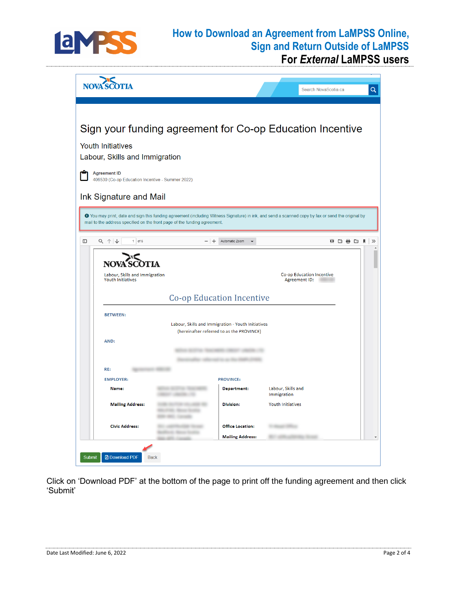

## **How to Download an Agreement from LaMPSS Online, Sign and Return Outside of LaMPSS**

**For** *External* **LaMPSS users**

| <b>NOV</b>                                                                                                                                                                                                                      |                                                                                                 | Search NovaScotia.ca                       | $\alpha$ |
|---------------------------------------------------------------------------------------------------------------------------------------------------------------------------------------------------------------------------------|-------------------------------------------------------------------------------------------------|--------------------------------------------|----------|
| Sign your funding agreement for Co-op Education Incentive<br><b>Youth Initiatives</b><br>Labour, Skills and Immigration<br><b>Agreement ID</b><br>406530 (Co-op Education Incentive - Summer 2022)<br>Ink Signature and Mail    |                                                                                                 |                                            |          |
| O You may print, date and sign this funding agreement (including Witness Signature) in ink, and send a scanned copy by fax or send the original by<br>mail to the address specified on the front page of the funding agreement. |                                                                                                 |                                            |          |
| <b>NOV</b><br>Labour, Skills and Immigration<br><b>Youth Initiatives</b><br><b>Co-op Education Incentive</b><br><b>BETWEEN:</b>                                                                                                 |                                                                                                 | Co-op Education Incentive<br>Agreement ID: |          |
| AND:<br>RE:                                                                                                                                                                                                                     | Labour, Skills and Immigration - Youth Initiatives<br>(hereinafter referred to as the PROVINCE) |                                            |          |
| <b>EMPLOYER:</b><br>Name:                                                                                                                                                                                                       | <b>PROVINCE:</b><br><b>Department:</b>                                                          | Labour, Skills and<br>Immigration          |          |
| <b>Mailing Address:</b>                                                                                                                                                                                                         | <b>Division:</b>                                                                                | <b>Youth Initiatives</b>                   |          |
| <b>Civic Address:</b>                                                                                                                                                                                                           | <b>Office Location:</b><br><b>Mailing Address:</b>                                              |                                            |          |
| Submit<br><b>A</b> Download PDF<br><b>Back</b>                                                                                                                                                                                  |                                                                                                 |                                            |          |

Click on 'Download PDF' at the bottom of the page to print off the funding agreement and then click 'Submit'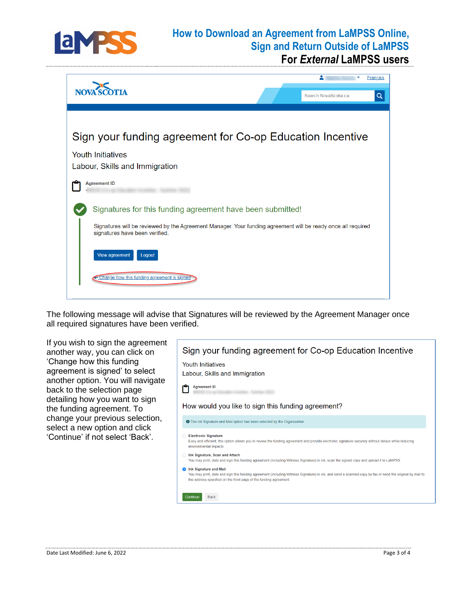

## **How to Download an Agreement from LaMPSS Online, Sign and Return Outside of LaMPSS For** *External* **LaMPSS users**



The following message will advise that Signatures will be reviewed by the Agreement Manager once all required signatures have been verified.

If you wish to sign the agreement Sign your funding agreement for Co-op Education Incentive another way, you can click on 'Change how this funding **Youth Initiatives** agreement is signed' to select Labour, Skills and Immigration another option. You will navigate **Agreement ID** m back to the selection page detailing how you want to sign How would you like to sign this funding agreement? the funding agreement. To change your previous selection, O The Ink Signature and Mail option has been selected by the Organization. select a new option and click 'Continue' if not select 'Back'.◯ Electronic Signature Easy and efficient, this option allows you to review the funding agreement and provide electronic signature securely without delays while reducing environmental impacts nk Signature, Scan and Attach You may print, date and sign this funding agreement (including Witness Signature) in ink, scan the signed copy and upload it to LaMPSS. **O** Ink Signature and Mail You may print, date and sign this funding agreement (including Witness Signature) in ink, and send a scanned copy by fax or send the original by mail to the address specified on the front page of the funding agreement Back